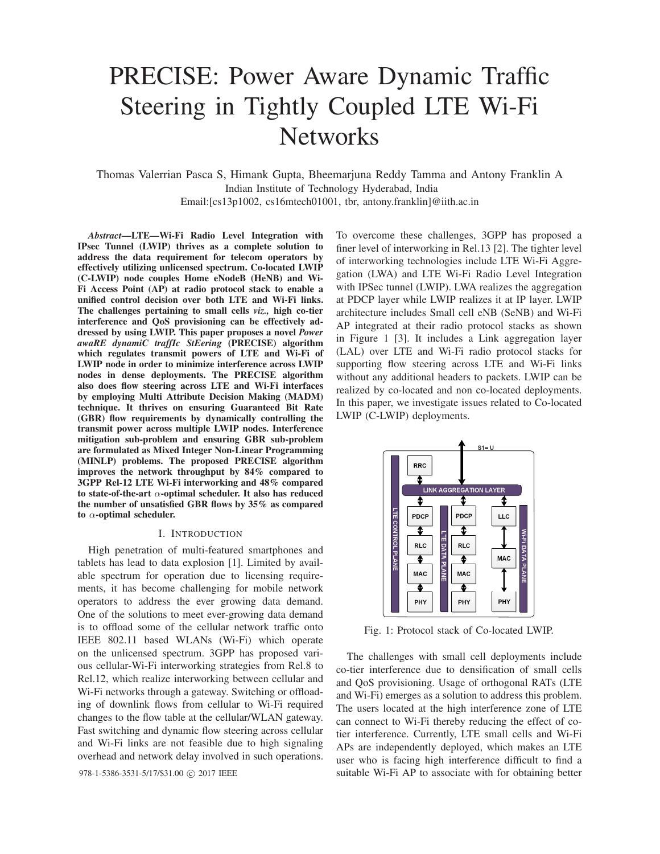# PRECISE: Power Aware Dynamic Traffic Steering in Tightly Coupled LTE Wi-Fi **Networks**

Thomas Valerrian Pasca S, Himank Gupta, Bheemarjuna Reddy Tamma and Antony Franklin A Indian Institute of Technology Hyderabad, India Email:[cs13p1002, cs16mtech01001, tbr, antony.franklin]@iith.ac.in

*Abstract***—LTE—Wi-Fi Radio Level Integration with IPsec Tunnel (LWIP) thrives as a complete solution to address the data requirement for telecom operators by effectively utilizing unlicensed spectrum. Co-located LWIP (C-LWIP) node couples Home eNodeB (HeNB) and Wi-Fi Access Point (AP) at radio protocol stack to enable a unified control decision over both LTE and Wi-Fi links. The challenges pertaining to small cells** *viz.,* **high co-tier interference and QoS provisioning can be effectively addressed by using LWIP. This paper proposes a novel** *Power awaRE dynamiC traffIc StEering* **(PRECISE) algorithm which regulates transmit powers of LTE and Wi-Fi of LWIP node in order to minimize interference across LWIP nodes in dense deployments. The PRECISE algorithm also does flow steering across LTE and Wi-Fi interfaces by employing Multi Attribute Decision Making (MADM) technique. It thrives on ensuring Guaranteed Bit Rate (GBR) flow requirements by dynamically controlling the transmit power across multiple LWIP nodes. Interference mitigation sub-problem and ensuring GBR sub-problem are formulated as Mixed Integer Non-Linear Programming (MINLP) problems. The proposed PRECISE algorithm improves the network throughput by 84% compared to 3GPP Rel-12 LTE Wi-Fi interworking and 48% compared** to state-of-the-art  $\alpha$ -optimal scheduler. It also has reduced **the number of unsatisfied GBR flows by 35% as compared** to  $\alpha$ -optimal scheduler.

## I. INTRODUCTION

High penetration of multi-featured smartphones and tablets has lead to data explosion [1]. Limited by available spectrum for operation due to licensing requirements, it has become challenging for mobile network operators to address the ever growing data demand. One of the solutions to meet ever-growing data demand is to offload some of the cellular network traffic onto IEEE 802.11 based WLANs (Wi-Fi) which operate on the unlicensed spectrum. 3GPP has proposed various cellular-Wi-Fi interworking strategies from Rel.8 to Rel.12, which realize interworking between cellular and Wi-Fi networks through a gateway. Switching or offloading of downlink flows from cellular to Wi-Fi required changes to the flow table at the cellular/WLAN gateway. Fast switching and dynamic flow steering across cellular and Wi-Fi links are not feasible due to high signaling overhead and network delay involved in such operations.

To overcome these challenges, 3GPP has proposed a finer level of interworking in Rel.13 [2]. The tighter level of interworking technologies include LTE Wi-Fi Aggregation (LWA) and LTE Wi-Fi Radio Level Integration with IPSec tunnel (LWIP). LWA realizes the aggregation at PDCP layer while LWIP realizes it at IP layer. LWIP architecture includes Small cell eNB (SeNB) and Wi-Fi AP integrated at their radio protocol stacks as shown in Figure 1 [3]. It includes a Link aggregation layer (LAL) over LTE and Wi-Fi radio protocol stacks for supporting flow steering across LTE and Wi-Fi links without any additional headers to packets. LWIP can be realized by co-located and non co-located deployments. In this paper, we investigate issues related to Co-located LWIP (C-LWIP) deployments.



Fig. 1: Protocol stack of Co-located LWIP.

The challenges with small cell deployments include co-tier interference due to densification of small cells and QoS provisioning. Usage of orthogonal RATs (LTE and Wi-Fi) emerges as a solution to address this problem. The users located at the high interference zone of LTE can connect to Wi-Fi thereby reducing the effect of cotier interference. Currently, LTE small cells and Wi-Fi APs are independently deployed, which makes an LTE user who is facing high interference difficult to find a 978-1-5386-3531-5/17/\$31.00  $\odot$  2017 IEEE suitable Wi-Fi AP to associate with for obtaining better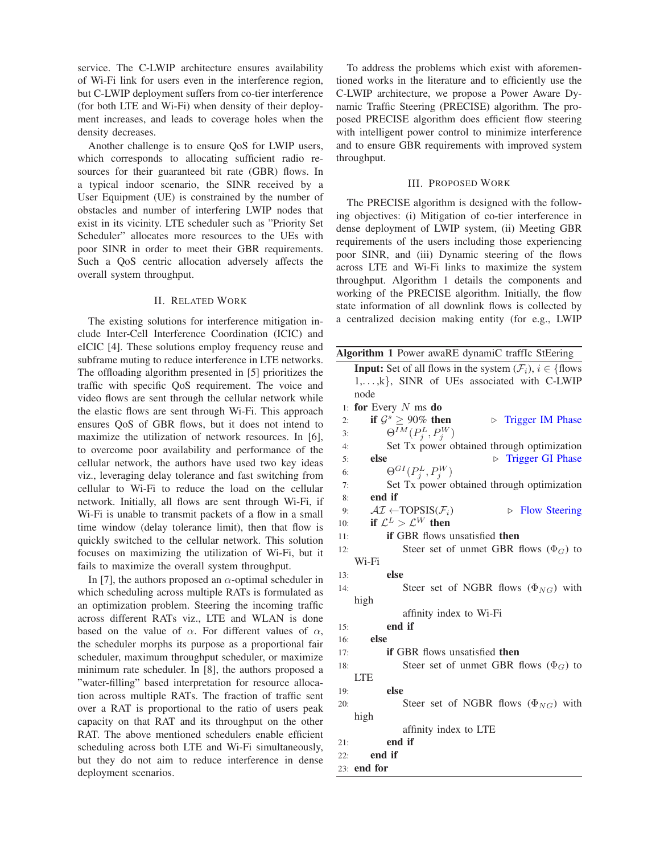service. The C-LWIP architecture ensures availability of Wi-Fi link for users even in the interference region, but C-LWIP deployment suffers from co-tier interference (for both LTE and Wi-Fi) when density of their deployment increases, and leads to coverage holes when the density decreases.

Another challenge is to ensure QoS for LWIP users, which corresponds to allocating sufficient radio resources for their guaranteed bit rate (GBR) flows. In a typical indoor scenario, the SINR received by a User Equipment (UE) is constrained by the number of obstacles and number of interfering LWIP nodes that exist in its vicinity. LTE scheduler such as "Priority Set Scheduler" allocates more resources to the UEs with poor SINR in order to meet their GBR requirements. Such a QoS centric allocation adversely affects the overall system throughput.

## II. RELATED WORK

The existing solutions for interference mitigation include Inter-Cell Interference Coordination (ICIC) and eICIC [4]. These solutions employ frequency reuse and subframe muting to reduce interference in LTE networks. The offloading algorithm presented in [5] prioritizes the traffic with specific QoS requirement. The voice and video flows are sent through the cellular network while the elastic flows are sent through Wi-Fi. This approach ensures QoS of GBR flows, but it does not intend to maximize the utilization of network resources. In [6], to overcome poor availability and performance of the cellular network, the authors have used two key ideas viz., leveraging delay tolerance and fast switching from cellular to Wi-Fi to reduce the load on the cellular network. Initially, all flows are sent through Wi-Fi, if Wi-Fi is unable to transmit packets of a flow in a small time window (delay tolerance limit), then that flow is quickly switched to the cellular network. This solution focuses on maximizing the utilization of Wi-Fi, but it fails to maximize the overall system throughput.

In [7], the authors proposed an  $\alpha$ -optimal scheduler in which scheduling across multiple RATs is formulated as an optimization problem. Steering the incoming traffic across different RATs viz., LTE and WLAN is done based on the value of  $\alpha$ . For different values of  $\alpha$ , the scheduler morphs its purpose as a proportional fair scheduler, maximum throughput scheduler, or maximize minimum rate scheduler. In [8], the authors proposed a "water-filling" based interpretation for resource allocation across multiple RATs. The fraction of traffic sent over a RAT is proportional to the ratio of users peak capacity on that RAT and its throughput on the other RAT. The above mentioned schedulers enable efficient scheduling across both LTE and Wi-Fi simultaneously, but they do not aim to reduce interference in dense deployment scenarios.

To address the problems which exist with aforementioned works in the literature and to efficiently use the C-LWIP architecture, we propose a Power Aware Dynamic Traffic Steering (PRECISE) algorithm. The proposed PRECISE algorithm does efficient flow steering with intelligent power control to minimize interference and to ensure GBR requirements with improved system throughput.

### III. PROPOSED WORK

The PRECISE algorithm is designed with the following objectives: (i) Mitigation of co-tier interference in dense deployment of LWIP system, (ii) Meeting GBR requirements of the users including those experiencing poor SINR, and (iii) Dynamic steering of the flows across LTE and Wi-Fi links to maximize the system throughput. Algorithm 1 details the components and working of the PRECISE algorithm. Initially, the flow state information of all downlink flows is collected by a centralized decision making entity (for e.g., LWIP

|     | Algorithm 1 Power awaRE dynamiC traffIc StEering                                          |
|-----|-------------------------------------------------------------------------------------------|
|     | <b>Input:</b> Set of all flows in the system $(\mathcal{F}_i)$ , $i \in \{\text{flows}\}$ |
|     | $1, \ldots, k$ , SINR of UEs associated with C-LWIP                                       |
|     | node                                                                                      |
|     | 1: for Every $N$ ms do                                                                    |
| 2:  | if $\mathcal{G}^s \geq 90\%$ then<br>$\triangleright$ Trigger IM Phase                    |
| 3:  | $\Theta^{IM}(P_i^L, P_i^W)$                                                               |
| 4:  | Set Tx power obtained through optimization                                                |
| 5:  | else<br>$\triangleright$ Trigger GI Phase                                                 |
| 6:  | $\Theta^{GI}(P_i^L, P_i^W)$                                                               |
| 7:  | Set Tx power obtained through optimization                                                |
| 8:  | end if                                                                                    |
| 9:  | $\mathcal{AI} \leftarrow \text{TOPSIS}(\mathcal{F}_i)$<br>$\triangleright$ Flow Steering  |
| 10: | if $\mathcal{L}^L > \mathcal{L}^W$ then                                                   |
| 11: | <b>if</b> GBR flows unsatisfied <b>then</b>                                               |
| 12: | Steer set of unmet GBR flows $(\Phi_G)$ to<br>Wi-Fi                                       |
| 13: | else                                                                                      |
| 14: | Steer set of NGBR flows $(\Phi_{NG})$ with                                                |
|     | high                                                                                      |
|     | affinity index to Wi-Fi                                                                   |
| 15: | end if                                                                                    |
| 16: | else                                                                                      |
| 17: | <b>if</b> GBR flows unsatisfied <b>then</b>                                               |
| 18: | Steer set of unmet GBR flows $(\Phi_G)$ to                                                |
|     | <b>LTE</b>                                                                                |
| 19: | else                                                                                      |
| 20: | Steer set of NGBR flows $(\Phi_{NG})$ with                                                |
|     | high                                                                                      |
|     | affinity index to LTE                                                                     |
| 21: | end if                                                                                    |
| 22: | end if                                                                                    |
|     | $23:$ end for                                                                             |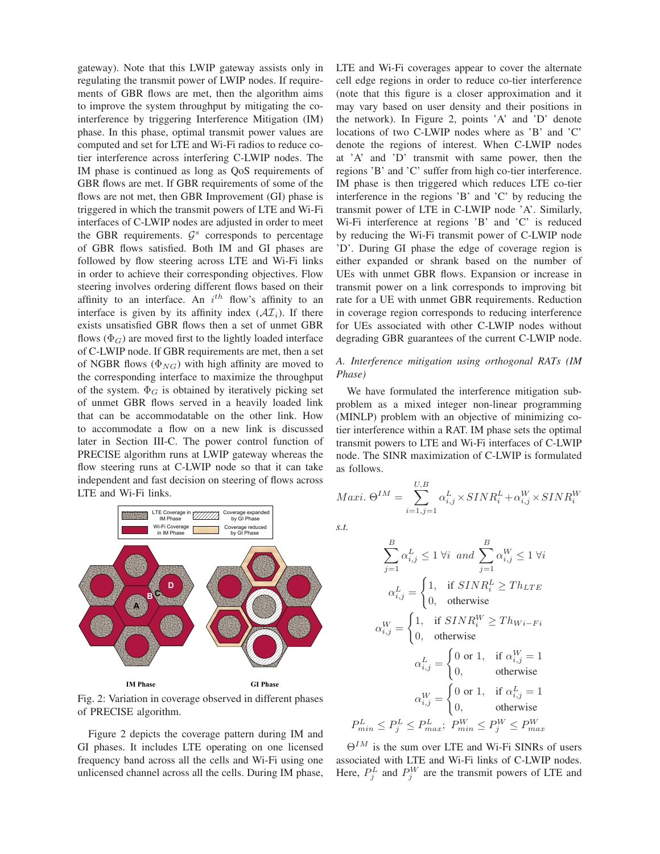gateway). Note that this LWIP gateway assists only in regulating the transmit power of LWIP nodes. If requirements of GBR flows are met, then the algorithm aims to improve the system throughput by mitigating the cointerference by triggering Interference Mitigation (IM) phase. In this phase, optimal transmit power values are computed and set for LTE and Wi-Fi radios to reduce cotier interference across interfering C-LWIP nodes. The IM phase is continued as long as QoS requirements of GBR flows are met. If GBR requirements of some of the flows are not met, then GBR Improvement (GI) phase is triggered in which the transmit powers of LTE and Wi-Fi interfaces of C-LWIP nodes are adjusted in order to meet the GBR requirements.  $G<sup>s</sup>$  corresponds to percentage of GBR flows satisfied. Both IM and GI phases are followed by flow steering across LTE and Wi-Fi links in order to achieve their corresponding objectives. Flow steering involves ordering different flows based on their affinity to an interface. An  $i^{th}$  flow's affinity to an interface is given by its affinity index  $(\mathcal{AI}_i)$ . If there exists unsatisfied GBR flows then a set of unmet GBR flows ( $\Phi_G$ ) are moved first to the lightly loaded interface of C-LWIP node. If GBR requirements are met, then a set of NGBR flows ( $\Phi_{NG}$ ) with high affinity are moved to the corresponding interface to maximize the throughput of the system.  $\Phi_G$  is obtained by iteratively picking set of unmet GBR flows served in a heavily loaded link that can be accommodatable on the other link. How to accommodate a flow on a new link is discussed later in Section III-C. The power control function of PRECISE algorithm runs at LWIP gateway whereas the flow steering runs at C-LWIP node so that it can take independent and fast decision on steering of flows across LTE and Wi-Fi links.



Fig. 2: Variation in coverage observed in different phases of PRECISE algorithm.

Figure 2 depicts the coverage pattern during IM and GI phases. It includes LTE operating on one licensed frequency band across all the cells and Wi-Fi using one unlicensed channel across all the cells. During IM phase, LTE and Wi-Fi coverages appear to cover the alternate cell edge regions in order to reduce co-tier interference (note that this figure is a closer approximation and it may vary based on user density and their positions in the network). In Figure 2, points 'A' and 'D' denote locations of two C-LWIP nodes where as 'B' and 'C' denote the regions of interest. When C-LWIP nodes at 'A' and 'D' transmit with same power, then the regions 'B' and 'C' suffer from high co-tier interference. IM phase is then triggered which reduces LTE co-tier interference in the regions 'B' and 'C' by reducing the transmit power of LTE in C-LWIP node 'A'. Similarly, Wi-Fi interference at regions 'B' and 'C' is reduced by reducing the Wi-Fi transmit power of C-LWIP node 'D'. During GI phase the edge of coverage region is either expanded or shrank based on the number of UEs with unmet GBR flows. Expansion or increase in transmit power on a link corresponds to improving bit rate for a UE with unmet GBR requirements. Reduction in coverage region corresponds to reducing interference for UEs associated with other C-LWIP nodes without degrading GBR guarantees of the current C-LWIP node.

# *A. Interference mitigation using orthogonal RATs (IM Phase)*

We have formulated the interference mitigation subproblem as a mixed integer non-linear programming (MINLP) problem with an objective of minimizing cotier interference within a RAT. IM phase sets the optimal transmit powers to LTE and Wi-Fi interfaces of C-LWIP node. The SINR maximization of C-LWIP is formulated as follows.

$$
Maxi. \Theta^{IM} = \sum_{i=1,j=1}^{U,B} \alpha_{i,j}^{L} \times SINR_{i}^{L} + \alpha_{i,j}^{W} \times SINR_{i}^{W}
$$

*s.t.*

$$
\sum_{j=1}^{B} \alpha_{i,j}^{L} \le 1 \ \forall i \quad and \quad \sum_{j=1}^{B} \alpha_{i,j}^{W} \le 1 \ \forall i
$$
\n
$$
\alpha_{i,j}^{L} = \begin{cases}\n1, & \text{if } SINR_{i}^{L} \ge Th_{LTE} \\
0, & \text{otherwise}\n\end{cases}
$$
\n
$$
\alpha_{i,j}^{W} = \begin{cases}\n1, & \text{if } SINR_{i}^{W} \ge Th_{Wi-Fi} \\
0, & \text{otherwise}\n\end{cases}
$$
\n
$$
\alpha_{i,j}^{L} = \begin{cases}\n0 \text{ or } 1, & \text{if } \alpha_{i,j}^{W} = 1 \\
0, & \text{otherwise}\n\end{cases}
$$
\n
$$
\alpha_{i,j}^{W} = \begin{cases}\n0 \text{ or } 1, & \text{if } \alpha_{i,j}^{L} = 1 \\
0, & \text{otherwise}\n\end{cases}
$$
\n
$$
P_{min}^{L} \le P_{j}^{L} \le P_{max}^{L}; P_{min}^{W} \le P_{j}^{W} \le P_{max}^{W}
$$

 $\Theta^{IM}$  is the sum over LTE and Wi-Fi SINRs of users associated with LTE and Wi-Fi links of C-LWIP nodes. Here,  $P_j^L$  and  $P_j^W$  are the transmit powers of LTE and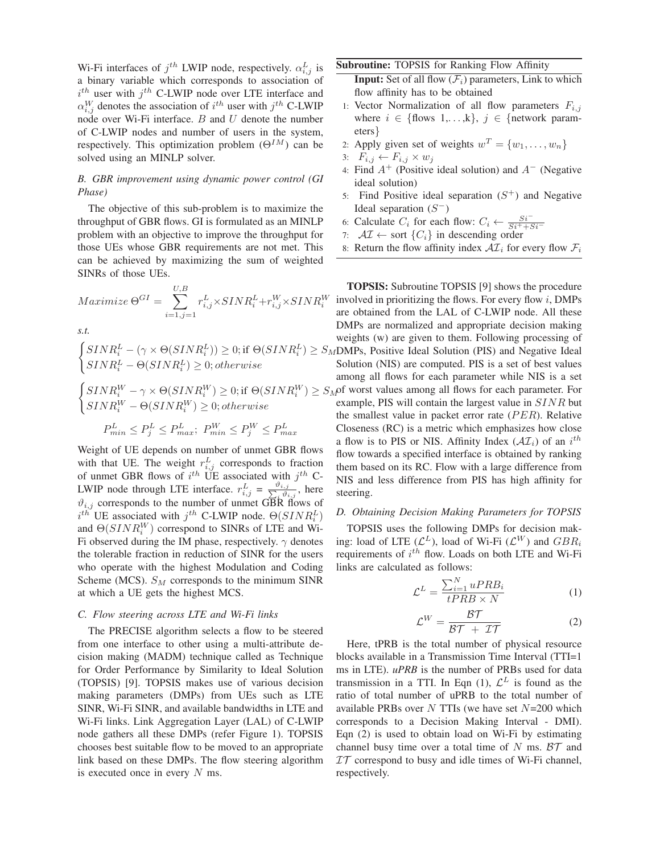Wi-Fi interfaces of  $j^{th}$  LWIP node, respectively.  $\alpha_{i,j}^L$  is a binary variable which corresponds to association of  $i^{th}$  user with  $j^{th}$  C-LWIP node over LTE interface and  $\alpha_{i,j}^W$  denotes the association of  $i^{th}$  user with  $j^{th}$  C-LWIP node over Wi-Fi interface.  $B$  and  $U$  denote the number of C-LWIP nodes and number of users in the system, respectively. This optimization problem  $(\Theta^{IM})$  can be solved using an MINLP solver.

# *B. GBR improvement using dynamic power control (GI Phase)*

The objective of this sub-problem is to maximize the throughput of GBR flows. GI is formulated as an MINLP problem with an objective to improve the throughput for those UEs whose GBR requirements are not met. This can be achieved by maximizing the sum of weighted SINRs of those UEs.

$$
Maximize \Theta^{GI} = \sum_{i=1,j=1}^{U,B} r_{i,j}^{L} \times SINR_{i}^{L} + r_{i,j}^{W} \times SINR_{i}^{W}
$$

*s.t.*

$$
\begin{cases} SINR_i^L - (\gamma \times \Theta(SINR_i^L)) \ge 0; \text{if } \Theta(SINR_i^L) \ge S_i\\ SINR_i^L - \Theta(SINR_i^L) \ge 0; otherwise \end{cases}
$$

$$
\begin{cases}\nSINR_i^W - \gamma \times \Theta(SINR_i^W) \ge 0; \text{if } \Theta(SINR_i^W) \ge S \\
SINR_i^W - \Theta(SINR_i^W) \ge 0; otherwise\n\end{cases}
$$

$$
P_{min}^L \le P_j^L \le P_{max}^L; \ P_{min}^W \le P_j^W \le P_{max}^L
$$

Weight of UE depends on number of unmet GBR flows with that UE. The weight  $r_{i,j}^L$  corresponds to fraction of unmet GBR flows of  $i^{th}$  UE associated with  $j^{th}$  C-LWIP node through LTE interface.  $r_{i,j}^L = \frac{\vartheta_{i,j}}{\sum_k \vartheta_{i,j}}$ , here  $\vartheta_{i,j}$  corresponds to the number of unmet GBR flows of  $i^{th}$  UE associated with  $j^{th}$  C-LWIP node.  $\Theta(SINR_i^L)$ and  $\Theta(SINR_i^W)$  correspond to SINRs of LTE and Wi-Fi observed during the IM phase, respectively.  $\gamma$  denotes the tolerable fraction in reduction of SINR for the users who operate with the highest Modulation and Coding Scheme (MCS).  $S_M$  corresponds to the minimum SINR at which a UE gets the highest MCS.

#### *C. Flow steering across LTE and Wi-Fi links*

The PRECISE algorithm selects a flow to be steered from one interface to other using a multi-attribute decision making (MADM) technique called as Technique for Order Performance by Similarity to Ideal Solution (TOPSIS) [9]. TOPSIS makes use of various decision making parameters (DMPs) from UEs such as LTE SINR, Wi-Fi SINR, and available bandwidths in LTE and Wi-Fi links. Link Aggregation Layer (LAL) of C-LWIP node gathers all these DMPs (refer Figure 1). TOPSIS chooses best suitable flow to be moved to an appropriate link based on these DMPs. The flow steering algorithm is executed once in every  $N$  ms.

## **Subroutine:** TOPSIS for Ranking Flow Affinity

**Input:** Set of all flow  $(\mathcal{F}_i)$  parameters, Link to which flow affinity has to be obtained

- 1: Vector Normalization of all flow parameters  $F_{i,j}$ where  $i \in \{\text{flows } 1, \ldots, k\}, j \in \{\text{network } \text{param-}$ eters}
- 2: Apply given set of weights  $w^T = \{w_1, \ldots, w_n\}$
- 3:  $F_{i,j} \leftarrow F_{i,j} \times w_j$
- 4: Find  $A^+$  (Positive ideal solution) and  $A^-$  (Negative ideal solution)
- 5: Find Positive ideal separation  $(S^+)$  and Negative Ideal separation  $(S^-)$
- 6: Calculate  $C_i$  for each flow:  $C_i \leftarrow \frac{Si^-}{Si^+ + Si^-}$
- 7:  $\mathcal{AI} \leftarrow$  sort  $\{C_i\}$  in descending order
- 8: Return the flow affinity index  $AT_i$  for every flow  $F_i$

 $\mathcal{L}_i^L$ )  $\geq$  S<sub>M</sub>DMPs, Positive Ideal Solution (PIS) and Negative Ideal  $\binom{W}{i} \geq S_M$  of worst values among all flows for each parameter. For **TOPSIS:** Subroutine TOPSIS [9] shows the procedure involved in prioritizing the flows. For every flow  $i$ , DMPs are obtained from the LAL of C-LWIP node. All these DMPs are normalized and appropriate decision making weights (w) are given to them. Following processing of Solution (NIS) are computed. PIS is a set of best values among all flows for each parameter while NIS is a set example, PIS will contain the largest value in  $SINR$  but the smallest value in packet error rate  $(PER)$ . Relative Closeness (RC) is a metric which emphasizes how close a flow is to PIS or NIS. Affinity Index  $(\mathcal{AI}_i)$  of an  $i^{th}$ flow towards a specified interface is obtained by ranking them based on its RC. Flow with a large difference from NIS and less difference from PIS has high affinity for steering.

#### *D. Obtaining Decision Making Parameters for TOPSIS*

TOPSIS uses the following DMPs for decision making: load of LTE  $(\mathcal{L}^L)$ , load of Wi-Fi  $(\mathcal{L}^W)$  and  $GBR_i$ requirements of  $i^{th}$  flow. Loads on both LTE and Wi-Fi links are calculated as follows:

$$
\mathcal{L}^L = \frac{\sum_{i=1}^N uPRB_i}{tPRB \times N} \tag{1}
$$

$$
\mathcal{L}^W = \frac{\mathcal{BT}}{\mathcal{BT}} + \mathcal{IT}
$$
 (2)

Here, tPRB is the total number of physical resource blocks available in a Transmission Time Interval (TTI=1 ms in LTE). *uPRB* is the number of PRBs used for data transmission in a TTI. In Eqn (1),  $\mathcal{L}^{L}$  is found as the ratio of total number of uPRB to the total number of available PRBs over  $N$  TTIs (we have set  $N=200$  which corresponds to a Decision Making Interval - DMI). Eqn (2) is used to obtain load on Wi-Fi by estimating channel busy time over a total time of  $N$  ms.  $BT$  and  $TT$  correspond to busy and idle times of Wi-Fi channel, respectively.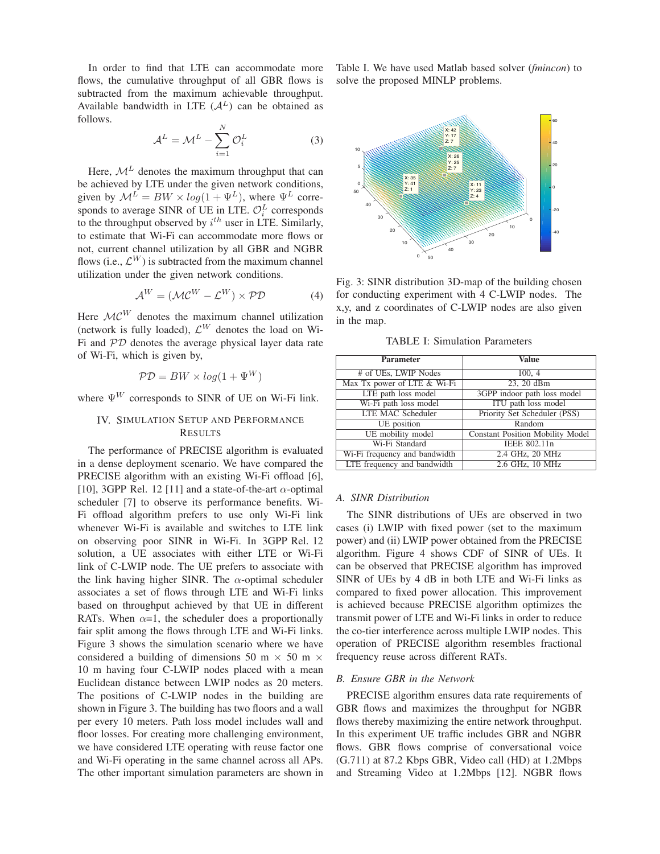In order to find that LTE can accommodate more flows, the cumulative throughput of all GBR flows is subtracted from the maximum achievable throughput. Available bandwidth in LTE  $(A<sup>L</sup>)$  can be obtained as follows.

$$
\mathcal{A}^L = \mathcal{M}^L - \sum_{i=1}^N \mathcal{O}_i^L \tag{3}
$$

Here,  $\mathcal{M}^{L}$  denotes the maximum throughput that can be achieved by LTE under the given network conditions, given by  $\mathcal{M}^L = BW \times log(1 + \Psi^L)$ , where  $\Psi^L$  corresponds to average SINR of UE in LTE.  $\mathcal{O}_i^L$  corresponds to the throughput observed by  $i^{th}$  user in LTE. Similarly, to estimate that Wi-Fi can accommodate more flows or not, current channel utilization by all GBR and NGBR flows (i.e.,  $\mathcal{L}^W$ ) is subtracted from the maximum channel utilization under the given network conditions.

$$
\mathcal{A}^W = (\mathcal{MC}^W - \mathcal{L}^W) \times \mathcal{PD}
$$
 (4)

Here  $MC^W$  denotes the maximum channel utilization (network is fully loaded),  $\mathcal{L}^W$  denotes the load on Wi-Fi and  $PD$  denotes the average physical layer data rate of Wi-Fi, which is given by,

$$
\mathcal{PD} = BW \times log(1 + \Psi^W)
$$

where  $\Psi^W$  corresponds to SINR of UE on Wi-Fi link.

## IV. SIMULATION SETUP AND PERFORMANCE RESULTS

The performance of PRECISE algorithm is evaluated in a dense deployment scenario. We have compared the PRECISE algorithm with an existing Wi-Fi offload [6], [10], 3GPP Rel. 12 [11] and a state-of-the-art  $\alpha$ -optimal scheduler [7] to observe its performance benefits. Wi-Fi offload algorithm prefers to use only Wi-Fi link whenever Wi-Fi is available and switches to LTE link on observing poor SINR in Wi-Fi. In 3GPP Rel. 12 solution, a UE associates with either LTE or Wi-Fi link of C-LWIP node. The UE prefers to associate with the link having higher SINR. The  $\alpha$ -optimal scheduler associates a set of flows through LTE and Wi-Fi links based on throughput achieved by that UE in different RATs. When  $\alpha=1$ , the scheduler does a proportionally fair split among the flows through LTE and Wi-Fi links. Figure 3 shows the simulation scenario where we have considered a building of dimensions 50 m  $\times$  50 m  $\times$ 10 m having four C-LWIP nodes placed with a mean Euclidean distance between LWIP nodes as 20 meters. The positions of C-LWIP nodes in the building are shown in Figure 3. The building has two floors and a wall per every 10 meters. Path loss model includes wall and floor losses. For creating more challenging environment, we have considered LTE operating with reuse factor one and Wi-Fi operating in the same channel across all APs. The other important simulation parameters are shown in Table I. We have used Matlab based solver (*fmincon*) to solve the proposed MINLP problems.



Fig. 3: SINR distribution 3D-map of the building chosen for conducting experiment with 4 C-LWIP nodes. The x,y, and z coordinates of C-LWIP nodes are also given in the map.

TABLE I: Simulation Parameters

| <b>Parameter</b>              | <b>Value</b>                            |
|-------------------------------|-----------------------------------------|
| # of UEs, LWIP Nodes          | 100, 4                                  |
| Max Tx power of LTE & Wi-Fi   | 23, 20 dBm                              |
| LTE path loss model           | 3GPP indoor path loss model             |
| Wi-Fi path loss model         | <b>ITU</b> path loss model              |
| LTE MAC Scheduler             | Priority Set Scheduler (PSS)            |
| UE position                   | Random                                  |
| UE mobility model             | <b>Constant Position Mobility Model</b> |
| Wi-Fi Standard                | IEEE 802.11n                            |
| Wi-Fi frequency and bandwidth | 2.4 GHz, 20 MHz                         |
| LTE frequency and bandwidth   | 2.6 GHz, 10 MHz                         |

## *A. SINR Distribution*

The SINR distributions of UEs are observed in two cases (i) LWIP with fixed power (set to the maximum power) and (ii) LWIP power obtained from the PRECISE algorithm. Figure 4 shows CDF of SINR of UEs. It can be observed that PRECISE algorithm has improved SINR of UEs by 4 dB in both LTE and Wi-Fi links as compared to fixed power allocation. This improvement is achieved because PRECISE algorithm optimizes the transmit power of LTE and Wi-Fi links in order to reduce the co-tier interference across multiple LWIP nodes. This operation of PRECISE algorithm resembles fractional frequency reuse across different RATs.

#### *B. Ensure GBR in the Network*

PRECISE algorithm ensures data rate requirements of GBR flows and maximizes the throughput for NGBR flows thereby maximizing the entire network throughput. In this experiment UE traffic includes GBR and NGBR flows. GBR flows comprise of conversational voice (G.711) at 87.2 Kbps GBR, Video call (HD) at 1.2Mbps and Streaming Video at 1.2Mbps [12]. NGBR flows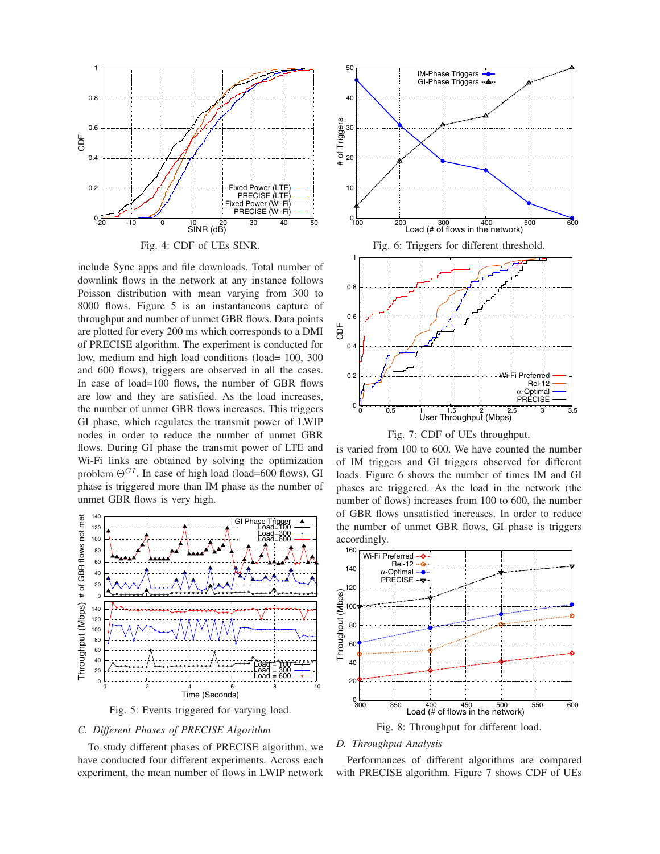

include Sync apps and file downloads. Total number of downlink flows in the network at any instance follows Poisson distribution with mean varying from 300 to 8000 flows. Figure 5 is an instantaneous capture of throughput and number of unmet GBR flows. Data points are plotted for every 200 ms which corresponds to a DMI of PRECISE algorithm. The experiment is conducted for low, medium and high load conditions (load= 100, 300 and 600 flows), triggers are observed in all the cases. In case of load=100 flows, the number of GBR flows are low and they are satisfied. As the load increases, the number of unmet GBR flows increases. This triggers GI phase, which regulates the transmit power of LWIP nodes in order to reduce the number of unmet GBR flows. During GI phase the transmit power of LTE and Wi-Fi links are obtained by solving the optimization problem  $\Theta^{GI}$ . In case of high load (load=600 flows), GI phase is triggered more than IM phase as the number of unmet GBR flows is very high.



Fig. 5: Events triggered for varying load.

# *C. Different Phases of PRECISE Algorithm*

To study different phases of PRECISE algorithm, we have conducted four different experiments. Across each experiment, the mean number of flows in LWIP network



Fig. 7: CDF of UEs throughput.

is varied from 100 to 600. We have counted the number of IM triggers and GI triggers observed for different loads. Figure 6 shows the number of times IM and GI phases are triggered. As the load in the network (the number of flows) increases from 100 to 600, the number of GBR flows unsatisfied increases. In order to reduce the number of unmet GBR flows, GI phase is triggers accordingly.



Fig. 8: Throughput for different load.

## *D. Throughput Analysis*

Performances of different algorithms are compared with PRECISE algorithm. Figure 7 shows CDF of UEs